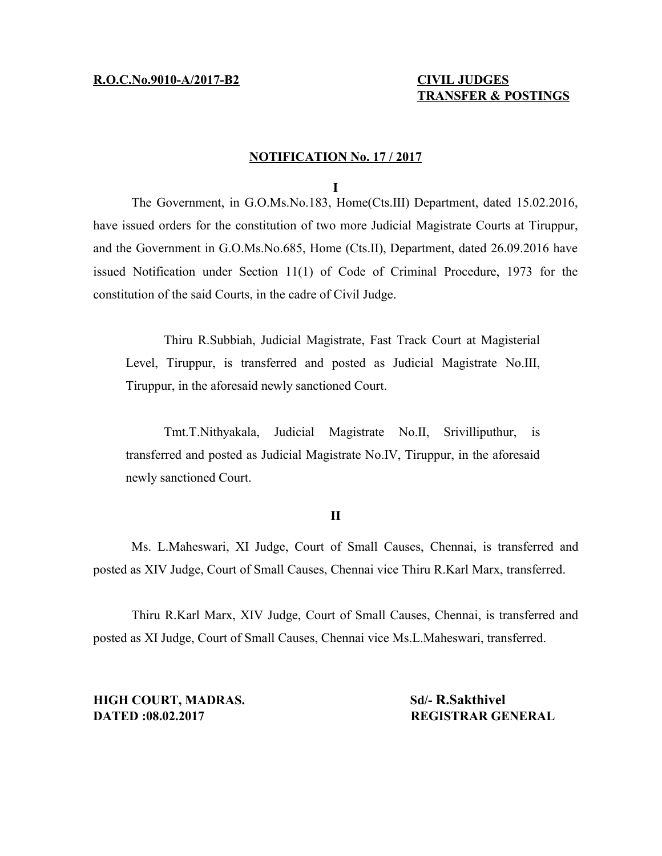# **TRANSFER & POSTINGS**

#### **NOTIFICATION No. 17 / 2017**

**I**

The Government, in G.O.Ms.No.183, Home(Cts.III) Department, dated 15.02.2016, have issued orders for the constitution of two more Judicial Magistrate Courts at Tiruppur, and the Government in G.O.Ms.No.685, Home (Cts.II), Department, dated 26.09.2016 have issued Notification under Section 11(1) of Code of Criminal Procedure, 1973 for the constitution of the said Courts, in the cadre of Civil Judge.

Thiru R.Subbiah, Judicial Magistrate, Fast Track Court at Magisterial Level, Tiruppur, is transferred and posted as Judicial Magistrate No.III, Tiruppur, in the aforesaid newly sanctioned Court.

Tmt.T.Nithyakala, Judicial Magistrate No.II, Srivilliputhur, is transferred and posted as Judicial Magistrate No.IV, Tiruppur, in the aforesaid newly sanctioned Court.

**II**

Ms. L.Maheswari, XI Judge, Court of Small Causes, Chennai, is transferred and posted as XIV Judge, Court of Small Causes, Chennai vice Thiru R.Karl Marx, transferred.

Thiru R.Karl Marx, XIV Judge, Court of Small Causes, Chennai, is transferred and posted as XI Judge, Court of Small Causes, Chennai vice Ms.L.Maheswari, transferred.

**HIGH COURT, MADRAS. Sd/- R.Sakthivel DATED :08.02.2017 REGISTRAR GENERAL**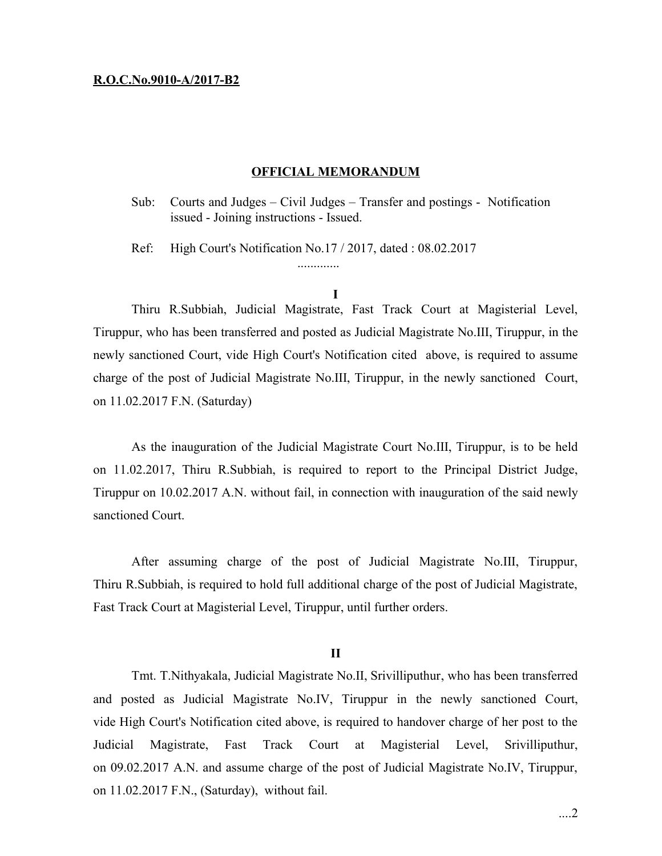### **R .O.C.No.9010-A/2017-B2**

## **OFFICIAL MEMORANDUM**

Sub: Courts and Judges – Civil Judges – Transfer and postings - Notification issued - Joining instructions - Issued.

Ref: High Court's Notification No.17 / 2017, dated : 08.02.2017

.............

# **I**

Thiru R.Subbiah, Judicial Magistrate, Fast Track Court at Magisterial Level, Tiruppur, who has been transferred and posted as Judicial Magistrate No.III, Tiruppur, in the newly sanctioned Court, vide High Court's Notification cited above, is required to assume charge of the post of Judicial Magistrate No.III, Tiruppur, in the newly sanctioned Court, on 11.02.2017 F.N. (Saturday)

As the inauguration of the Judicial Magistrate Court No.III, Tiruppur, is to be held on 11.02.2017, Thiru R.Subbiah, is required to report to the Principal District Judge, Tiruppur on 10.02.2017 A.N. without fail, in connection with inauguration of the said newly sanctioned Court.

After assuming charge of the post of Judicial Magistrate No.III, Tiruppur, Thiru R.Subbiah, is required to hold full additional charge of the post of Judicial Magistrate, Fast Track Court at Magisterial Level, Tiruppur, until further orders.

#### **II**

Tmt. T.Nithyakala, Judicial Magistrate No.II, Srivilliputhur, who has been transferred and posted as Judicial Magistrate No.IV, Tiruppur in the newly sanctioned Court, vide High Court's Notification cited above, is required to handover charge of her post to the Judicial Magistrate, Fast Track Court at Magisterial Level, Srivilliputhur, on 09.02.2017 A.N. and assume charge of the post of Judicial Magistrate No.IV, Tiruppur, on 11.02.2017 F.N., (Saturday), without fail.